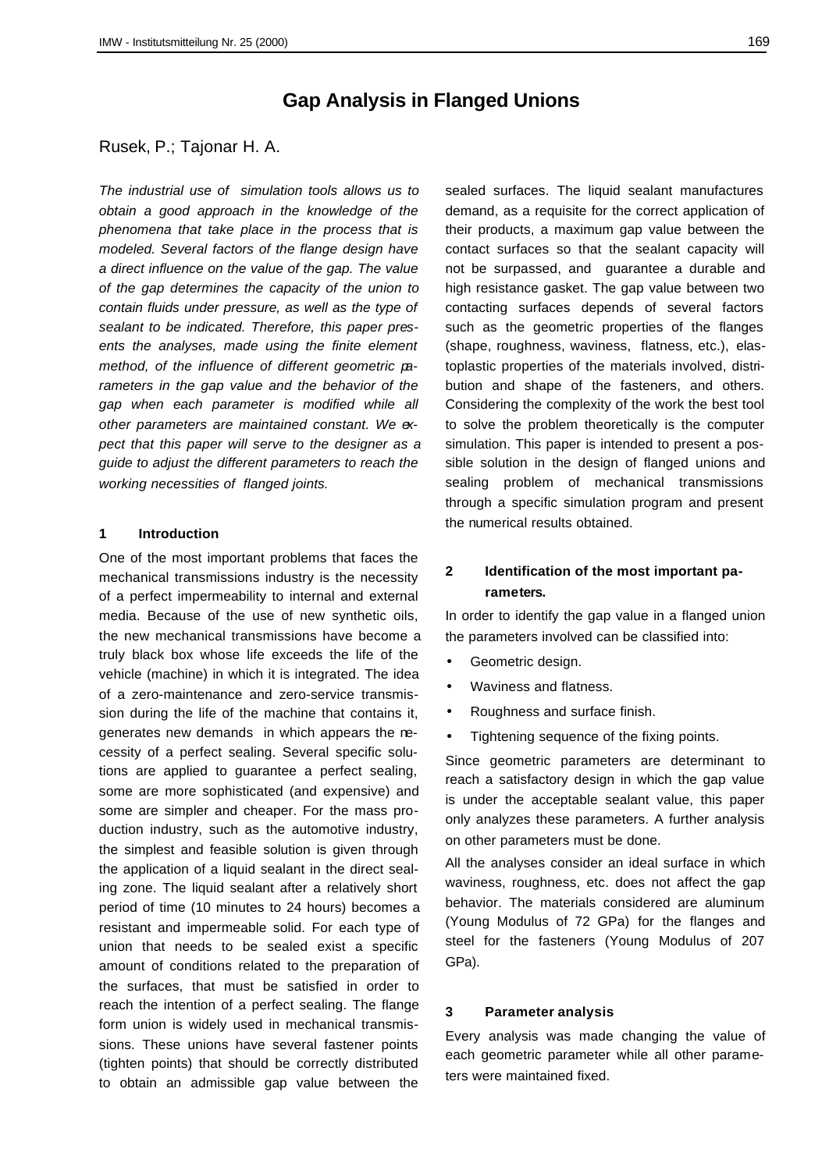# **Gap Analysis in Flanged Unions**

## Rusek, P.; Tajonar H. A.

*The industrial use of simulation tools allows us to obtain a good approach in the knowledge of the phenomena that take place in the process that is modeled. Several factors of the flange design have a direct influence on the value of the gap. The value of the gap determines the capacity of the union to contain fluids under pressure, as well as the type of sealant to be indicated. Therefore, this paper presents the analyses, made using the finite element method, of the influence of different geometric parameters in the gap value and the behavior of the gap when each parameter is modified while all other parameters are maintained constant. We expect that this paper will serve to the designer as a guide to adjust the different parameters to reach the working necessities of flanged joints.*

#### **1 Introduction**

One of the most important problems that faces the mechanical transmissions industry is the necessity of a perfect impermeability to internal and external media. Because of the use of new synthetic oils, the new mechanical transmissions have become a truly black box whose life exceeds the life of the vehicle (machine) in which it is integrated. The idea of a zero-maintenance and zero-service transmission during the life of the machine that contains it, generates new demands in which appears the necessity of a perfect sealing. Several specific solutions are applied to guarantee a perfect sealing, some are more sophisticated (and expensive) and some are simpler and cheaper. For the mass production industry, such as the automotive industry, the simplest and feasible solution is given through the application of a liquid sealant in the direct sealing zone. The liquid sealant after a relatively short period of time (10 minutes to 24 hours) becomes a resistant and impermeable solid. For each type of union that needs to be sealed exist a specific amount of conditions related to the preparation of the surfaces, that must be satisfied in order to reach the intention of a perfect sealing. The flange form union is widely used in mechanical transmissions. These unions have several fastener points (tighten points) that should be correctly distributed to obtain an admissible gap value between the

sealed surfaces. The liquid sealant manufactures demand, as a requisite for the correct application of their products, a maximum gap value between the contact surfaces so that the sealant capacity will not be surpassed, and guarantee a durable and high resistance gasket. The gap value between two contacting surfaces depends of several factors such as the geometric properties of the flanges (shape, roughness, waviness, flatness, etc.), elastoplastic properties of the materials involved, distribution and shape of the fasteners, and others. Considering the complexity of the work the best tool to solve the problem theoretically is the computer simulation. This paper is intended to present a possible solution in the design of flanged unions and sealing problem of mechanical transmissions through a specific simulation program and present the numerical results obtained.

# **2 Identification of the most important parameters.**

In order to identify the gap value in a flanged union the parameters involved can be classified into:

- Geometric design.
- Waviness and flatness.
- Roughness and surface finish.
- Tightening sequence of the fixing points.

Since geometric parameters are determinant to reach a satisfactory design in which the gap value is under the acceptable sealant value, this paper only analyzes these parameters. A further analysis on other parameters must be done.

All the analyses consider an ideal surface in which waviness, roughness, etc. does not affect the gap behavior. The materials considered are aluminum (Young Modulus of 72 GPa) for the flanges and steel for the fasteners (Young Modulus of 207 GPa).

## **3 Parameter analysis**

Every analysis was made changing the value of each geometric parameter while all other parameters were maintained fixed.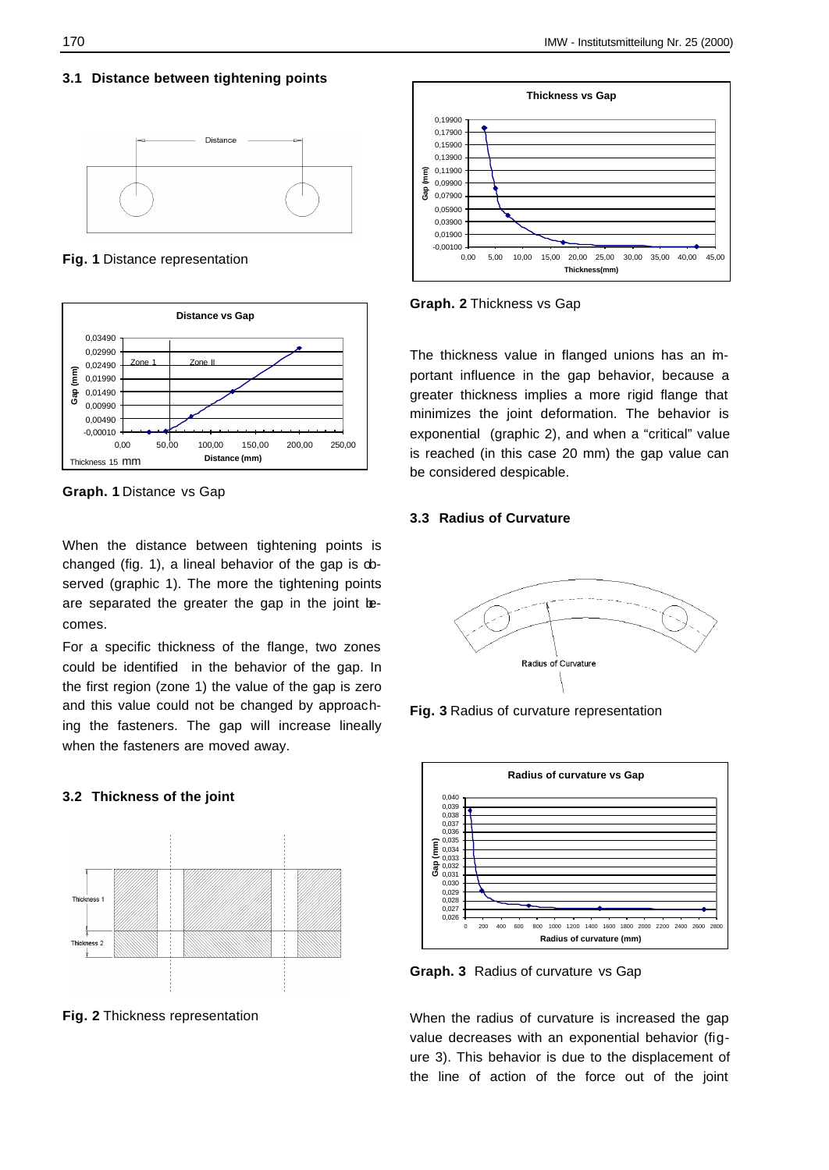#### **3.1 Distance between tightening points**



**Fig. 1** Distance representation



**Graph. 1** Distance vs Gap

When the distance between tightening points is changed (fig. 1), a lineal behavior of the gap is observed (graphic 1). The more the tightening points are separated the greater the gap in the joint becomes.

For a specific thickness of the flange, two zones could be identified in the behavior of the gap. In the first region (zone 1) the value of the gap is zero and this value could not be changed by approaching the fasteners. The gap will increase lineally when the fasteners are moved away.

## **3.2 Thickness of the joint**



**Fig. 2** Thickness representation



**Graph. 2** Thickness vs Gap

The thickness value in flanged unions has an inportant influence in the gap behavior, because a greater thickness implies a more rigid flange that minimizes the joint deformation. The behavior is exponential (graphic 2), and when a "critical" value is reached (in this case 20 mm) the gap value can be considered despicable.

#### **3.3 Radius of Curvature**



**Fig. 3** Radius of curvature representation



**Graph. 3** Radius of curvature vs Gap

When the radius of curvature is increased the gap value decreases with an exponential behavior (figure 3). This behavior is due to the displacement of the line of action of the force out of the joint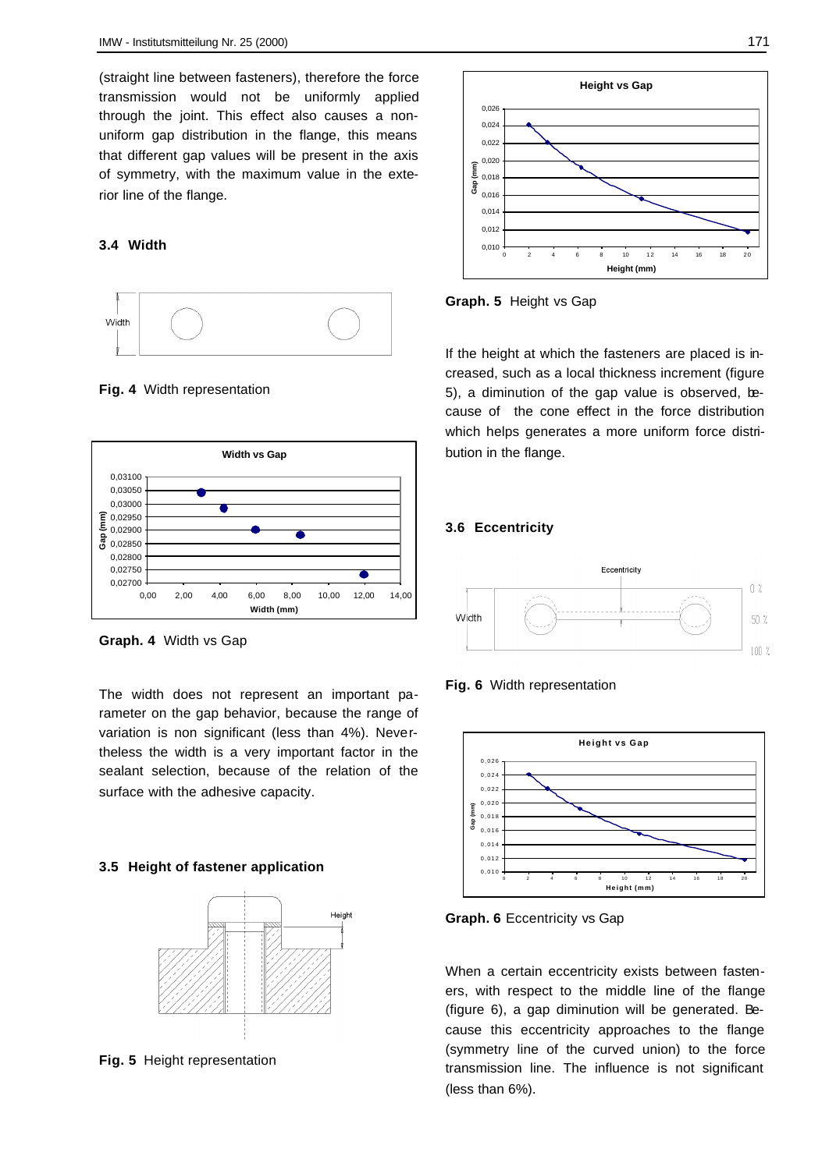(straight line between fasteners), therefore the force transmission would not be uniformly applied through the joint. This effect also causes a nonuniform gap distribution in the flange, this means that different gap values will be present in the axis of symmetry, with the maximum value in the exterior line of the flange.

#### **3.4 Width**



**Fig. 4** Width representation



**Graph. 4** Width vs Gap

The width does not represent an important parameter on the gap behavior, because the range of variation is non significant (less than 4%). Nevertheless the width is a very important factor in the sealant selection, because of the relation of the surface with the adhesive capacity.

## **3.5 Height of fastener application**



**Fig. 5** Height representation



**Graph. 5** Height vs Gap

If the height at which the fasteners are placed is increased, such as a local thickness increment (figure 5), a diminution of the gap value is observed, because of the cone effect in the force distribution which helps generates a more uniform force distribution in the flange.

## **3.6 Eccentricity**







**Graph. 6** Eccentricity vs Gap

When a certain eccentricity exists between fasteners, with respect to the middle line of the flange (figure 6), a gap diminution will be generated. Because this eccentricity approaches to the flange (symmetry line of the curved union) to the force transmission line. The influence is not significant (less than 6%).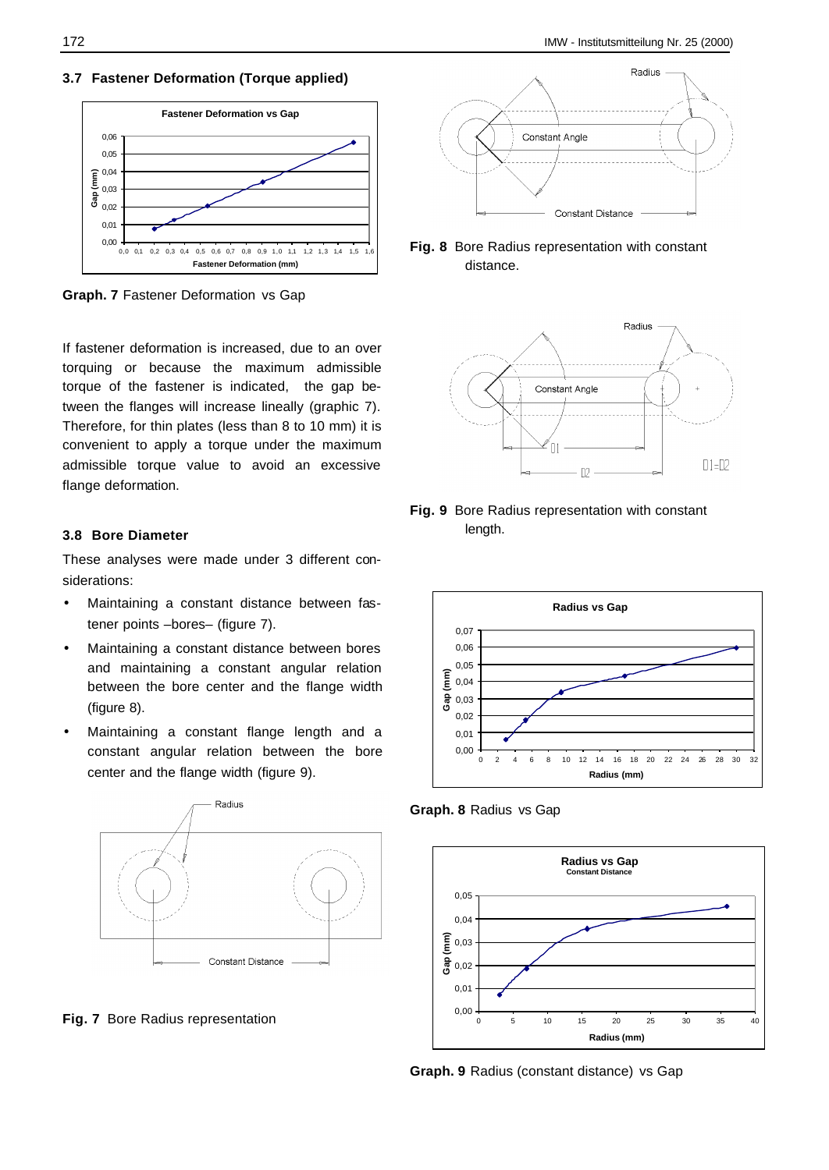**3.7 Fastener Deformation (Torque applied)**



**Graph. 7** Fastener Deformation vs Gap

If fastener deformation is increased, due to an over torquing or because the maximum admissible torque of the fastener is indicated, the gap between the flanges will increase lineally (graphic 7). Therefore, for thin plates (less than 8 to 10 mm) it is convenient to apply a torque under the maximum admissible torque value to avoid an excessive flange deformation.

## **3.8 Bore Diameter**

These analyses were made under 3 different considerations:

- Maintaining a constant distance between fastener points –bores– (figure 7).
- Maintaining a constant distance between bores and maintaining a constant angular relation between the bore center and the flange width (figure 8).
- Maintaining a constant flange length and a constant angular relation between the bore center and the flange width (figure 9).



**Fig. 7** Bore Radius representation



**Fig. 8** Bore Radius representation with constant distance.



**Fig. 9** Bore Radius representation with constant length.



**Graph. 8** Radius vs Gap



**Graph. 9** Radius (constant distance) vs Gap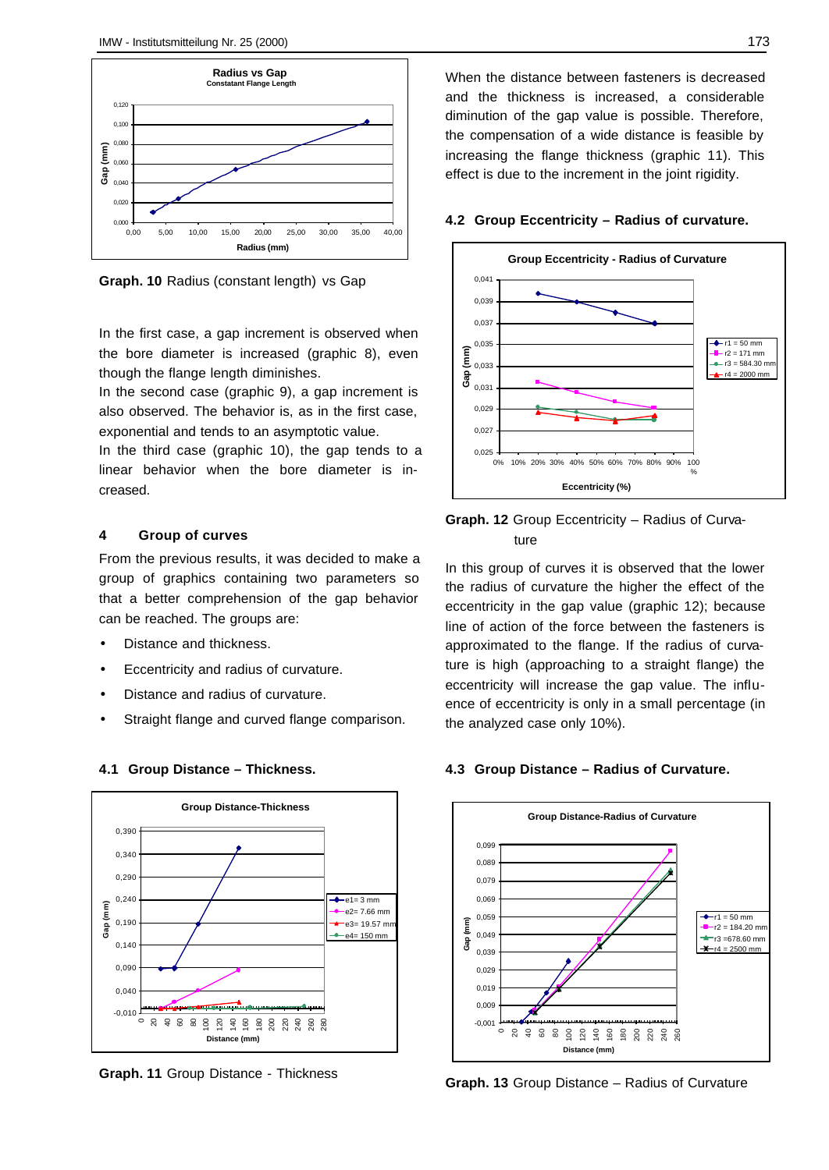

**Graph. 10** Radius (constant length) vs Gap

In the first case, a gap increment is observed when the bore diameter is increased (graphic 8), even though the flange length diminishes.

In the second case (graphic 9), a gap increment is also observed. The behavior is, as in the first case, exponential and tends to an asymptotic value.

In the third case (graphic 10), the gap tends to a linear behavior when the bore diameter is increased.

#### **4 Group of curves**

From the previous results, it was decided to make a group of graphics containing two parameters so that a better comprehension of the gap behavior can be reached. The groups are:

- Distance and thickness.
- Eccentricity and radius of curvature.
- Distance and radius of curvature.
- Straight flange and curved flange comparison.



**4.1 Group Distance – Thickness.**

**Graph. 11** Group Distance - Thickness

When the distance between fasteners is decreased and the thickness is increased, a considerable diminution of the gap value is possible. Therefore, the compensation of a wide distance is feasible by increasing the flange thickness (graphic 11). This effect is due to the increment in the joint rigidity.

#### **4.2 Group Eccentricity – Radius of curvature.**



# **Graph. 12** Group Eccentricity – Radius of Curvature

In this group of curves it is observed that the lower the radius of curvature the higher the effect of the eccentricity in the gap value (graphic 12); because line of action of the force between the fasteners is approximated to the flange. If the radius of curvature is high (approaching to a straight flange) the eccentricity will increase the gap value. The influence of eccentricity is only in a small percentage (in the analyzed case only 10%).

#### **4.3 Group Distance – Radius of Curvature.**



**Graph. 13** Group Distance – Radius of Curvature